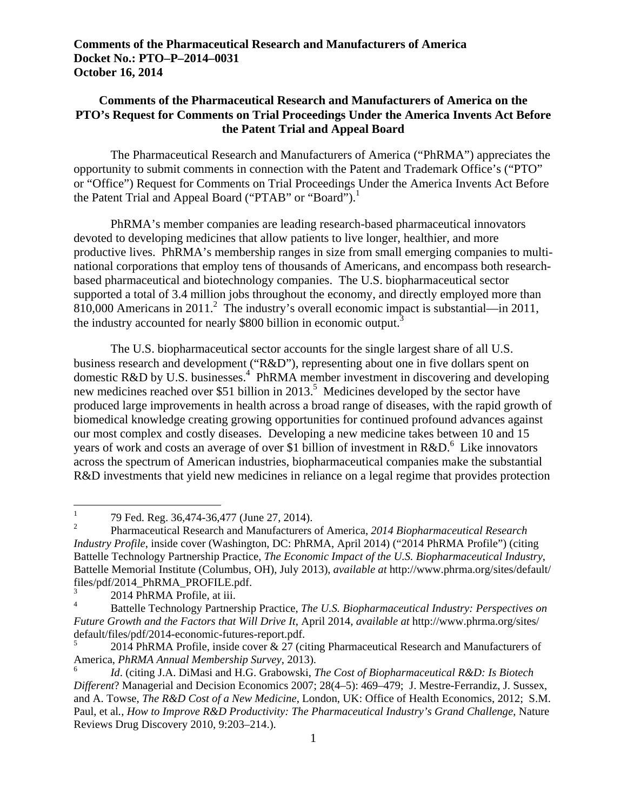## **Comments of the Pharmaceutical Research and Manufacturers of America on the PTO's Request for Comments on Trial Proceedings Under the America Invents Act Before the Patent Trial and Appeal Board**

the Patent Trial and Appeal Board ("PTAB" or "Board").<sup>1</sup> The Pharmaceutical Research and Manufacturers of America ("PhRMA") appreciates the opportunity to submit comments in connection with the Patent and Trademark Office's ("PTO" or "Office") Request for Comments on Trial Proceedings Under the America Invents Act Before

PhRMA's member companies are leading research-based pharmaceutical innovators devoted to developing medicines that allow patients to live longer, healthier, and more productive lives. PhRMA's membership ranges in size from small emerging companies to multinational corporations that employ tens of thousands of Americans, and encompass both researchbased pharmaceutical and biotechnology companies. The U.S. biopharmaceutical sector supported a total of 3.4 million jobs throughout the economy, and directly employed more than  $810,000$  Americans in  $2011<sup>2</sup>$ . The industry's overall economic impact is substantial—in 2011, the industry accounted for nearly \$800 billion in economic output.<sup>3</sup>

The U.S. biopharmaceutical sector accounts for the single largest share of all U.S. business research and development ("R&D"), representing about one in five dollars spent on domestic R&D by U.S. businesses.<sup>4</sup> PhRMA member investment in discovering and developing new medicines reached over \$51 billion in 2013.<sup>5</sup> Medicines developed by the sector have produced large improvements in health across a broad range of diseases, with the rapid growth of biomedical knowledge creating growing opportunities for continued profound advances against our most complex and costly diseases. Developing a new medicine takes between 10 and 15 years of work and costs an average of over \$1 billion of investment in  $R&D^6$ . Like innovators across the spectrum of American industries, biopharmaceutical companies make the substantial R&D investments that yield new medicines in reliance on a legal regime that provides protection

3 2014 PhRMA Profile, at iii.

<sup>1 79</sup> Fed. Reg. 36,474-36,477 (June 27, 2014).

 $\overline{2}$  2 Pharmaceutical Research and Manufacturers of America, *2014 Biopharmaceutical Research Industry Profile*, inside cover (Washington, DC: PhRMA, April 2014) ("2014 PhRMA Profile") (citing Battelle Technology Partnership Practice, *The Economic Impact of the U.S. Biopharmaceutical Industry*, Battelle Memorial Institute (Columbus, OH), July 2013), *available at* http://www.phrma.org/sites/default/ files/pdf/2014\_PhRMA\_PROFILE.pdf.

<sup>4</sup> Battelle Technology Partnership Practice, *The U.S. Biopharmaceutical Industry: Perspectives on Future Growth and the Factors that Will Drive It*, April 2014, *available at* http://www.phrma.org/sites/ default/files/pdf/2014-economic-futures-report.pdf.

<sup>2014</sup> PhRMA Profile, inside cover & 27 (citing Pharmaceutical Research and Manufacturers of America, *PhRMA Annual Membership Survey*, 2013).

<sup>6</sup>*Id*. (citing J.A. DiMasi and H.G. Grabowski, *The Cost of Biopharmaceutical R&D: Is Biotech Different*? Managerial and Decision Economics 2007; 28(4–5): 469–479; J. Mestre-Ferrandiz, J. Sussex, and A. Towse, *The R&D Cost of a New Medicine*, London, UK: Office of Health Economics, 2012; S.M. Paul, et al*., How to Improve R&D Productivity: The Pharmaceutical Industry's Grand Challenge*, Nature Reviews Drug Discovery 2010, 9:203–214.).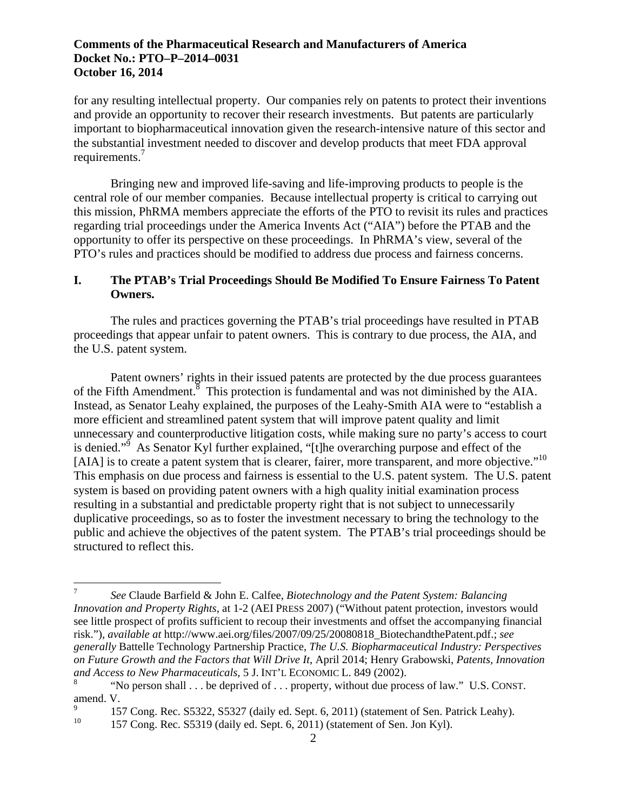requirements.<sup>7</sup> for any resulting intellectual property. Our companies rely on patents to protect their inventions and provide an opportunity to recover their research investments. But patents are particularly important to biopharmaceutical innovation given the research-intensive nature of this sector and the substantial investment needed to discover and develop products that meet FDA approval

Bringing new and improved life-saving and life-improving products to people is the central role of our member companies. Because intellectual property is critical to carrying out this mission, PhRMA members appreciate the efforts of the PTO to revisit its rules and practices regarding trial proceedings under the America Invents Act ("AIA") before the PTAB and the opportunity to offer its perspective on these proceedings. In PhRMA's view, several of the PTO's rules and practices should be modified to address due process and fairness concerns.

## **I. The PTAB's Trial Proceedings Should Be Modified To Ensure Fairness To Patent Owners.**

The rules and practices governing the PTAB's trial proceedings have resulted in PTAB proceedings that appear unfair to patent owners. This is contrary to due process, the AIA, and the U.S. patent system.

[AIA] is to create a patent system that is clearer, fairer, more transparent, and more objective."<sup>10</sup> Patent owners' rights in their issued patents are protected by the due process guarantees of the Fifth Amendment.<sup>8</sup> This protection is fundamental and was not diminished by the AIA. Instead, as Senator Leahy explained, the purposes of the Leahy-Smith AIA were to "establish a more efficient and streamlined patent system that will improve patent quality and limit unnecessary and counterproductive litigation costs, while making sure no party's access to court is denied."<sup>9</sup> As Senator Kyl further explained, "[t]he overarching purpose and effect of the This emphasis on due process and fairness is essential to the U.S. patent system. The U.S. patent system is based on providing patent owners with a high quality initial examination process resulting in a substantial and predictable property right that is not subject to unnecessarily duplicative proceedings, so as to foster the investment necessary to bring the technology to the public and achieve the objectives of the patent system. The PTAB's trial proceedings should be structured to reflect this.

and Access to New Pharmaceuticals, 5 J. INT'L ECONOMIC L. 849 (2002). <sup>7</sup>*See* Claude Barfield & John E. Calfee, *Biotechnology and the Patent System: Balancing Innovation and Property Rights*, at 1-2 (AEI PRESS 2007) ("Without patent protection, investors would see little prospect of profits sufficient to recoup their investments and offset the accompanying financial risk."), *available at* http://www.aei.org/files/2007/09/25/20080818\_BiotechandthePatent.pdf.; *see generally* Battelle Technology Partnership Practice, *The U.S. Biopharmaceutical Industry: Perspectives on Future Growth and the Factors that Will Drive It*, April 2014; Henry Grabowski, *Patents, Innovation* 

*a*<sup>t</sup>No person shall . . . be deprived of . . . property, without due process of law." U.S. CONST. amend. V.

<sup>9 157</sup> Cong. Rec. S5322, S5327 (daily ed. Sept. 6, 2011) (statement of Sen. Patrick Leahy).

<sup>157</sup> Cong. Rec. S5319 (daily ed. Sept. 6, 2011) (statement of Sen. Jon Kyl).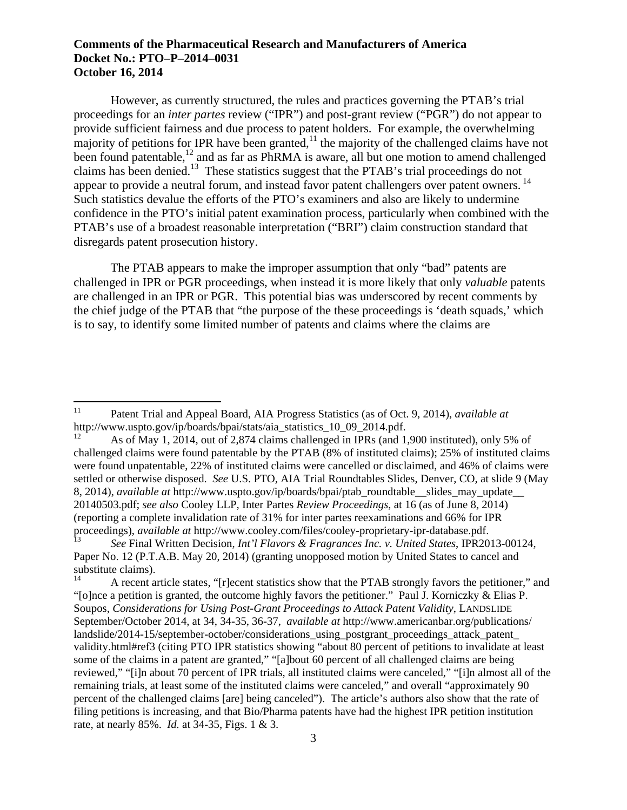appear to provide a neutral forum, and instead favor patent challengers over patent owners.<sup>14</sup> However, as currently structured, the rules and practices governing the PTAB's trial proceedings for an *inter partes* review ("IPR") and post-grant review ("PGR") do not appear to provide sufficient fairness and due process to patent holders. For example, the overwhelming majority of petitions for IPR have been granted,<sup>11</sup> the majority of the challenged claims have not been found patentable,<sup>12</sup> and as far as PhRMA is aware, all but one motion to amend challenged claims has been denied.13 These statistics suggest that the PTAB's trial proceedings do not Such statistics devalue the efforts of the PTO's examiners and also are likely to undermine confidence in the PTO's initial patent examination process, particularly when combined with the PTAB's use of a broadest reasonable interpretation ("BRI") claim construction standard that disregards patent prosecution history.

The PTAB appears to make the improper assumption that only "bad" patents are challenged in IPR or PGR proceedings, when instead it is more likely that only *valuable* patents are challenged in an IPR or PGR. This potential bias was underscored by recent comments by the chief judge of the PTAB that "the purpose of the these proceedings is 'death squads,' which is to say, to identify some limited number of patents and claims where the claims are

<sup>11</sup> Patent Trial and Appeal Board, AIA Progress Statistics (as of Oct. 9, 2014), *available at*  http://www.uspto.gov/ip/boards/bpai/stats/aia\_statistics\_10\_09\_2014.pdf.<br><sup>12</sup> As of May 1, 2014, out of 2,874 claims challenged in IPRs (and 1,900 instituted), only 5% of

challenged claims were found patentable by the PTAB (8% of instituted claims); 25% of instituted claims were found unpatentable, 22% of instituted claims were cancelled or disclaimed, and 46% of claims were settled or otherwise disposed. *See* U.S. PTO, AIA Trial Roundtables Slides, Denver, CO, at slide 9 (May 8, 2014), *available at* http://www.uspto.gov/ip/boards/bpai/ptab\_roundtable\_slides\_may\_update 20140503.pdf; *see also* Cooley LLP, Inter Partes *Review Proceedings*, at 16 (as of June 8, 2014) (reporting a complete invalidation rate of 31% for inter partes reexaminations and 66% for IPR proceedings), *available at* http://www.cooley.com/files/cooley-proprietary-ipr-database.pdf.

<sup>13</sup>*See* Final Written Decision, *Int'l Flavors & Fragrances Inc. v. United States*, IPR2013-00124, Paper No. 12 (P.T.A.B. May 20, 2014) (granting unopposed motion by United States to cancel and substitute claims).

 September/October 2014, at 34, 34-35, 36-37, *available at* http://www.americanbar.org/publications/ 14 A recent article states, "[r]ecent statistics show that the PTAB strongly favors the petitioner," and "[o]nce a petition is granted, the outcome highly favors the petitioner." Paul J. Korniczky  $\&$  Elias P. Soupos, *Considerations for Using Post-Grant Proceedings to Attack Patent Validity*, LANDSLIDE landslide/2014-15/september-october/considerations\_using\_postgrant\_proceedings\_attack\_patent validity.html#ref3 (citing PTO IPR statistics showing "about 80 percent of petitions to invalidate at least some of the claims in a patent are granted," "[a]bout 60 percent of all challenged claims are being reviewed," "[i]n about 70 percent of IPR trials, all instituted claims were canceled," "[i]n almost all of the remaining trials, at least some of the instituted claims were canceled," and overall "approximately 90 percent of the challenged claims [are] being canceled"). The article's authors also show that the rate of filing petitions is increasing, and that Bio/Pharma patents have had the highest IPR petition institution rate, at nearly 85%. *Id.* at 34-35, Figs. 1 & 3.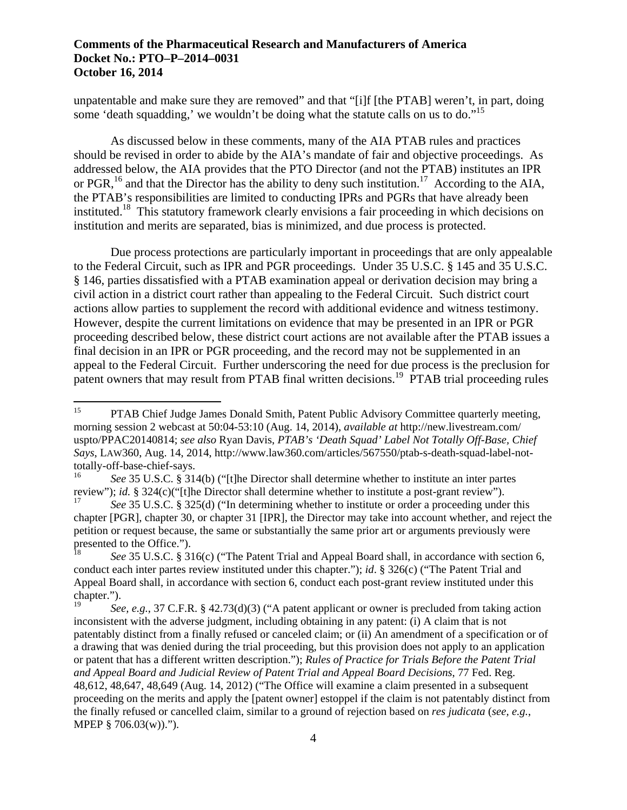some 'death squadding,' we wouldn't be doing what the statute calls on us to do."<sup>15</sup> unpatentable and make sure they are removed" and that "[i]f [the PTAB] weren't, in part, doing

As discussed below in these comments, many of the AIA PTAB rules and practices should be revised in order to abide by the AIA's mandate of fair and objective proceedings. As addressed below, the AIA provides that the PTO Director (and not the PTAB) institutes an IPR or PGR, <sup>16</sup> and that the Director has the ability to deny such institution.<sup>17</sup> According to the AIA, the PTAB's responsibilities are limited to conducting IPRs and PGRs that have already been instituted.<sup>18</sup> This statutory framework clearly envisions a fair proceeding in which decisions on institution and merits are separated, bias is minimized, and due process is protected.

Due process protections are particularly important in proceedings that are only appealable to the Federal Circuit, such as IPR and PGR proceedings. Under 35 U.S.C. § 145 and 35 U.S.C. § 146, parties dissatisfied with a PTAB examination appeal or derivation decision may bring a civil action in a district court rather than appealing to the Federal Circuit. Such district court actions allow parties to supplement the record with additional evidence and witness testimony. However, despite the current limitations on evidence that may be presented in an IPR or PGR proceeding described below, these district court actions are not available after the PTAB issues a final decision in an IPR or PGR proceeding, and the record may not be supplemented in an appeal to the Federal Circuit. Further underscoring the need for due process is the preclusion for patent owners that may result from PTAB final written decisions.<sup>19</sup> PTAB trial proceeding rules

<sup>15</sup> PTAB Chief Judge James Donald Smith, Patent Public Advisory Committee quarterly meeting, morning session 2 webcast at 50:04-53:10 (Aug. 14, 2014), *available at* http://new.livestream.com/ uspto/PPAC20140814; *see also* Ryan Davis, *PTAB's 'Death Squad' Label Not Totally Off-Base, Chief Says*, LAW360, Aug. 14, 2014, http://www.law360.com/articles/567550/ptab-s-death-squad-label-nottotally-off-base-chief-says.

<sup>16</sup>*See* 35 U.S.C. § 314(b) ("[t]he Director shall determine whether to institute an inter partes review"); *id.* § 324(c)("[t]he Director shall determine whether to institute a post-grant review").

<sup>17</sup>*See* 35 U.S.C. § 325(d) ("In determining whether to institute or order a proceeding under this chapter [PGR], chapter 30, or chapter 31 [IPR], the Director may take into account whether, and reject the petition or request because, the same or substantially the same prior art or arguments previously were presented to the Office.").

<sup>18</sup>*See* 35 U.S.C. § 316(c) ("The Patent Trial and Appeal Board shall, in accordance with section 6, conduct each inter partes review instituted under this chapter."); *id*. § 326(c) ("The Patent Trial and Appeal Board shall, in accordance with section 6, conduct each post-grant review instituted under this chapter.").

<sup>19</sup>*See, e.g.*, 37 C.F.R. § 42.73(d)(3) ("A patent applicant or owner is precluded from taking action inconsistent with the adverse judgment, including obtaining in any patent: (i) A claim that is not patentably distinct from a finally refused or canceled claim; or (ii) An amendment of a specification or of a drawing that was denied during the trial proceeding, but this provision does not apply to an application or patent that has a different written description."); *Rules of Practice for Trials Before the Patent Trial and Appeal Board and Judicial Review of Patent Trial and Appeal Board Decisions*, 77 Fed. Reg. 48,612, 48,647, 48,649 (Aug. 14, 2012) ("The Office will examine a claim presented in a subsequent proceeding on the merits and apply the [patent owner] estoppel if the claim is not patentably distinct from the finally refused or cancelled claim, similar to a ground of rejection based on *res judicata* (*see, e.g.*, MPEP § 706.03(w)).").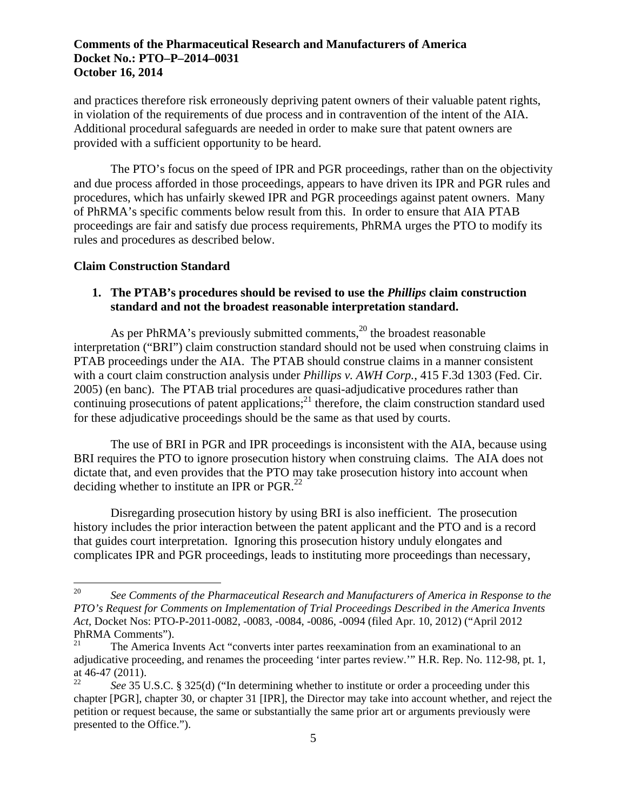and practices therefore risk erroneously depriving patent owners of their valuable patent rights, in violation of the requirements of due process and in contravention of the intent of the AIA. Additional procedural safeguards are needed in order to make sure that patent owners are provided with a sufficient opportunity to be heard.

The PTO's focus on the speed of IPR and PGR proceedings, rather than on the objectivity and due process afforded in those proceedings, appears to have driven its IPR and PGR rules and procedures, which has unfairly skewed IPR and PGR proceedings against patent owners. Many of PhRMA's specific comments below result from this. In order to ensure that AIA PTAB proceedings are fair and satisfy due process requirements, PhRMA urges the PTO to modify its rules and procedures as described below.

### **Claim Construction Standard**

1

## **1. The PTAB's procedures should be revised to use the** *Phillips* **claim construction standard and not the broadest reasonable interpretation standard.**

As per PhRMA's previously submitted comments, $^{20}$  the broadest reasonable interpretation ("BRI") claim construction standard should not be used when construing claims in PTAB proceedings under the AIA. The PTAB should construe claims in a manner consistent with a court claim construction analysis under *Phillips v. AWH Corp.*, 415 F.3d 1303 (Fed. Cir. 2005) (en banc). The PTAB trial procedures are quasi-adjudicative procedures rather than continuing prosecutions of patent applications; $^{21}$  therefore, the claim construction standard used for these adjudicative proceedings should be the same as that used by courts.

deciding whether to institute an IPR or PGR. $^{22}$ The use of BRI in PGR and IPR proceedings is inconsistent with the AIA, because using BRI requires the PTO to ignore prosecution history when construing claims. The AIA does not dictate that, and even provides that the PTO may take prosecution history into account when

Disregarding prosecution history by using BRI is also inefficient. The prosecution history includes the prior interaction between the patent applicant and the PTO and is a record that guides court interpretation. Ignoring this prosecution history unduly elongates and complicates IPR and PGR proceedings, leads to instituting more proceedings than necessary,

<sup>20</sup>*See Comments of the Pharmaceutical Research and Manufacturers of America in Response to the PTO's Request for Comments on Implementation of Trial Proceedings Described in the America Invents Act*, Docket Nos: PTO-P-2011-0082, -0083, -0084, -0086, -0094 (filed Apr. 10, 2012) ("April 2012 PhRMA Comments").<br><sup>21</sup> The America I

<sup>21</sup> The America Invents Act "converts inter partes reexamination from an examinational to an adjudicative proceeding, and renames the proceeding 'inter partes review.'" H.R. Rep. No. 112-98, pt. 1, at 46-47 (2011).

<sup>22</sup>*See* 35 U.S.C. § 325(d) ("In determining whether to institute or order a proceeding under this chapter [PGR], chapter 30, or chapter 31 [IPR], the Director may take into account whether, and reject the petition or request because, the same or substantially the same prior art or arguments previously were presented to the Office.").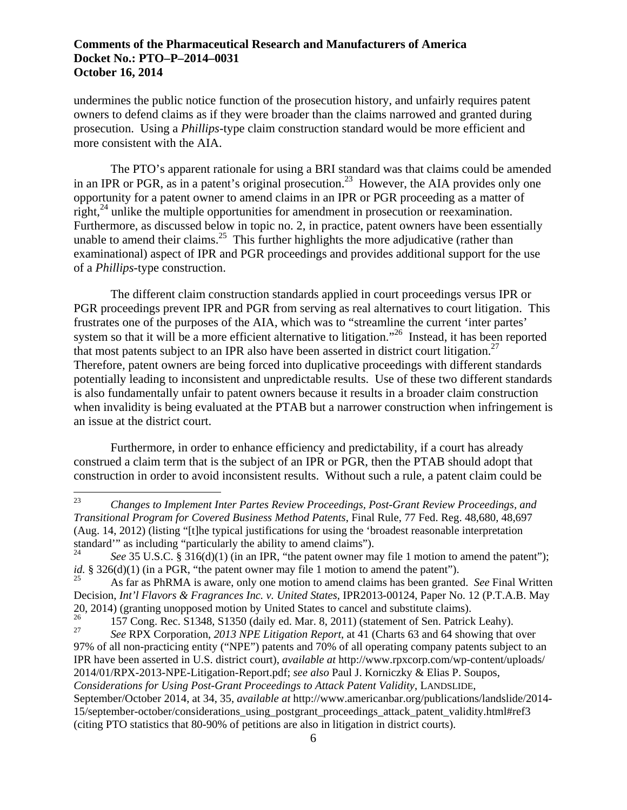undermines the public notice function of the prosecution history, and unfairly requires patent owners to defend claims as if they were broader than the claims narrowed and granted during prosecution. Using a *Phillips*-type claim construction standard would be more efficient and more consistent with the AIA.

The PTO's apparent rationale for using a BRI standard was that claims could be amended in an IPR or PGR, as in a patent's original prosecution.<sup>23</sup> However, the AIA provides only one opportunity for a patent owner to amend claims in an IPR or PGR proceeding as a matter of right, $^{24}$  unlike the multiple opportunities for amendment in prosecution or reexamination. Furthermore, as discussed below in topic no. 2, in practice, patent owners have been essentially unable to amend their claims.<sup>25</sup> This further highlights the more adjudicative (rather than examinational) aspect of IPR and PGR proceedings and provides additional support for the use of a *Phillips*-type construction.

that most patents subject to an IPR also have been asserted in district court litigation.<sup>27</sup> The different claim construction standards applied in court proceedings versus IPR or PGR proceedings prevent IPR and PGR from serving as real alternatives to court litigation. This frustrates one of the purposes of the AIA, which was to "streamline the current 'inter partes' system so that it will be a more efficient alternative to litigation."<sup>26</sup> Instead, it has been reported Therefore, patent owners are being forced into duplicative proceedings with different standards potentially leading to inconsistent and unpredictable results. Use of these two different standards is also fundamentally unfair to patent owners because it results in a broader claim construction when invalidity is being evaluated at the PTAB but a narrower construction when infringement is an issue at the district court.

Furthermore, in order to enhance efficiency and predictability, if a court has already construed a claim term that is the subject of an IPR or PGR, then the PTAB should adopt that construction in order to avoid inconsistent results. Without such a rule, a patent claim could be

<sup>23</sup>*Changes to Implement Inter Partes Review Proceedings, Post-Grant Review Proceedings, and Transitional Program for Covered Business Method Patents*, Final Rule, 77 Fed. Reg. 48,680, 48,697 (Aug. 14, 2012) (listing "[t]he typical justifications for using the 'broadest reasonable interpretation standard'" as including "particularly the ability to amend claims").

<sup>24</sup> See 35 U.S.C. § 316(d)(1) (in an IPR, "the patent owner may file 1 motion to amend the patent"); *id.* § 326(d)(1) (in a PGR, "the patent owner may file 1 motion to amend the patent").

<sup>26</sup> 25 As far as PhRMA is aware, only one motion to amend claims has been granted. *See* Final Written Decision, *Int'l Flavors & Fragrances Inc. v. United States*, IPR2013-00124, Paper No. 12 (P.T.A.B. May 20, 2014) (granting unopposed motion by United States to cancel and substitute claims).

 $27\,$ 26 157 Cong. Rec. S1348, S1350 (daily ed. Mar. 8, 2011) (statement of Sen. Patrick Leahy).

<sup>27</sup>*See* RPX Corporation, *2013 NPE Litigation Report*, at 41 (Charts 63 and 64 showing that over 97% of all non-practicing entity ("NPE") patents and 70% of all operating company patents subject to an IPR have been asserted in U.S. district court), *available at* http://www.rpxcorp.com/wp-content/uploads/ 2014/01/RPX-2013-NPE-Litigation-Report.pdf; *see also* Paul J. Korniczky & Elias P. Soupos, *Considerations for Using Post-Grant Proceedings to Attack Patent Validity*, LANDSLIDE, September/October 2014, at 34, 35, *available at* http://www.americanbar.org/publications/landslide/2014- 15/september-october/considerations\_using\_postgrant\_proceedings\_attack\_patent\_validity.html#ref3 (citing PTO statistics that 80-90% of petitions are also in litigation in district courts).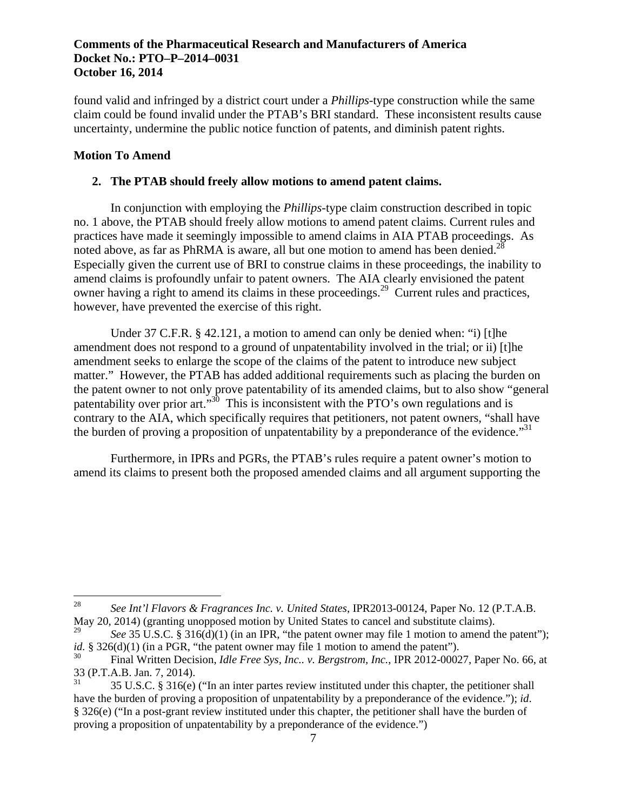found valid and infringed by a district court under a *Phillips*-type construction while the same claim could be found invalid under the PTAB's BRI standard. These inconsistent results cause uncertainty, undermine the public notice function of patents, and diminish patent rights.

### **Motion To Amend**

 $\overline{a}$ 

### **2. The PTAB should freely allow motions to amend patent claims.**

noted above, as far as PhRMA is aware, all but one motion to amend has been denied. $^{28}$ In conjunction with employing the *Phillips*-type claim construction described in topic no. 1 above, the PTAB should freely allow motions to amend patent claims. Current rules and practices have made it seemingly impossible to amend claims in AIA PTAB proceedings. As Especially given the current use of BRI to construe claims in these proceedings, the inability to amend claims is profoundly unfair to patent owners. The AIA clearly envisioned the patent owner having a right to amend its claims in these proceedings.<sup>29</sup> Current rules and practices, however, have prevented the exercise of this right.

the burden of proving a proposition of unpatentability by a preponderance of the evidence.<sup>31</sup> Under 37 C.F.R. § 42.121, a motion to amend can only be denied when: "i) [t]he amendment does not respond to a ground of unpatentability involved in the trial; or ii) [t]he amendment seeks to enlarge the scope of the claims of the patent to introduce new subject matter." However, the PTAB has added additional requirements such as placing the burden on the patent owner to not only prove patentability of its amended claims, but to also show "general patentability over prior art."<sup>30</sup> This is inconsistent with the PTO's own regulations and is contrary to the AIA, which specifically requires that petitioners, not patent owners, "shall have

Furthermore, in IPRs and PGRs, the PTAB's rules require a patent owner's motion to amend its claims to present both the proposed amended claims and all argument supporting the

<sup>28</sup>*See Int'l Flavors & Fragrances Inc. v. United States*, IPR2013-00124, Paper No. 12 (P.T.A.B. May 20, 2014) (granting unopposed motion by United States to cancel and substitute claims).

<sup>29</sup>*See* 35 U.S.C. § 316(d)(1) (in an IPR, "the patent owner may file 1 motion to amend the patent"); *id.* § 326(d)(1) (in a PGR, "the patent owner may file 1 motion to amend the patent").

<sup>30</sup> Final Written Decision, *Idle Free Sys, Inc.. v. Bergstrom, Inc.*, IPR 2012-00027, Paper No. 66, at 33 (P.T.A.B. Jan. 7, 2014).

<sup>31 35</sup> U.S.C. § 316(e) ("In an inter partes review instituted under this chapter, the petitioner shall have the burden of proving a proposition of unpatentability by a preponderance of the evidence."); *id*. § 326(e) ("In a post-grant review instituted under this chapter, the petitioner shall have the burden of proving a proposition of unpatentability by a preponderance of the evidence.")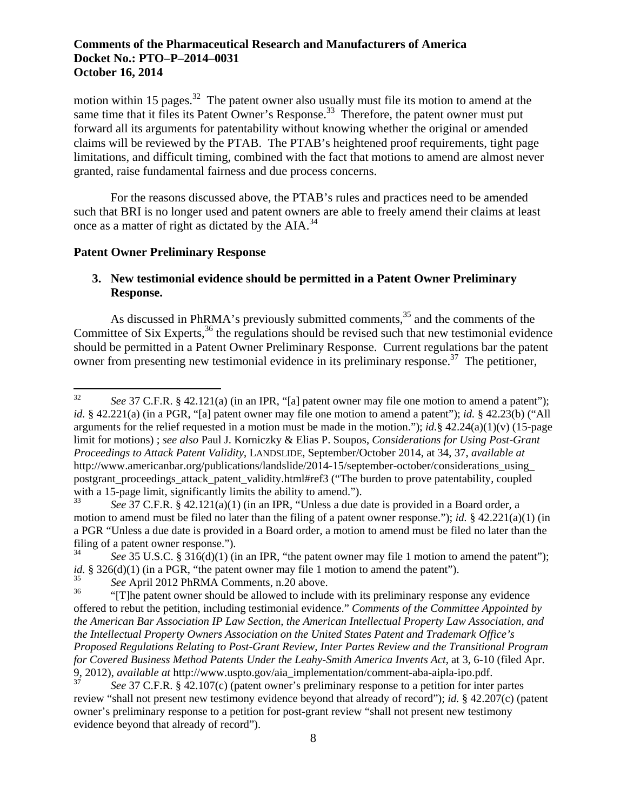motion within 15 pages.<sup>32</sup> The patent owner also usually must file its motion to amend at the same time that it files its Patent Owner's Response.<sup>33</sup> Therefore, the patent owner must put forward all its arguments for patentability without knowing whether the original or amended claims will be reviewed by the PTAB. The PTAB's heightened proof requirements, tight page limitations, and difficult timing, combined with the fact that motions to amend are almost never granted, raise fundamental fairness and due process concerns.

For the reasons discussed above, the PTAB's rules and practices need to be amended such that BRI is no longer used and patent owners are able to freely amend their claims at least once as a matter of right as dictated by the AIA.<sup>34</sup>

#### **Patent Owner Preliminary Response**

 $\overline{a}$ 

# **3. New testimonial evidence should be permitted in a Patent Owner Preliminary Response.**

As discussed in PhRMA's previously submitted comments,<sup>35</sup> and the comments of the Committee of Six Experts,  $36$  the regulations should be revised such that new testimonial evidence should be permitted in a Patent Owner Preliminary Response. Current regulations bar the patent owner from presenting new testimonial evidence in its preliminary response.<sup>37</sup> The petitioner,

See 37 C.F.R. § 42.121(a) (in an IPR, "[a] patent owner may file one motion to amend a patent"); *id.* § 42.221(a) (in a PGR, "[a] patent owner may file one motion to amend a patent"); *id.* § 42.23(b) ("All arguments for the relief requested in a motion must be made in the motion."); *id.*§ 42.24(a)(1)(v) (15-page limit for motions) ; *see also* Paul J. Korniczky & Elias P. Soupos, *Considerations for Using Post-Grant Proceedings to Attack Patent Validity*, LANDSLIDE, September/October 2014, at 34, 37, *available at*  http://www.americanbar.org/publications/landslide/2014-15/september-october/considerations\_using\_ postgrant\_proceedings\_attack\_patent\_validity.html#ref3 ("The burden to prove patentability, coupled with a 15-page limit, significantly limits the ability to amend.").<br> $S^3$  of  $S^2$  of  $S^2$  of  $S^2$  and  $S^3$  and  $S^3$  are  $S^3$  and  $S^3$  are  $S^3$ 

<sup>33</sup>*See* 37 C.F.R. § 42.121(a)(1) (in an IPR, "Unless a due date is provided in a Board order, a motion to amend must be filed no later than the filing of a patent owner response."); *id.* § 42.221(a)(1) (in a PGR "Unless a due date is provided in a Board order, a motion to amend must be filed no later than the filing of a patent owner response.").

<sup>34</sup> See 35 U.S.C. § 316(d)(1) (in an IPR, "the patent owner may file 1 motion to amend the patent"); *id.* §  $326(d)(1)$  (in a PGR, "the patent owner may file 1 motion to amend the patent").

<sup>35</sup>*See* April 2012 PhRMA Comments, n.20 above.

<sup>&</sup>quot;[T]he patent owner should be allowed to include with its preliminary response any evidence offered to rebut the petition, including testimonial evidence." *Comments of the Committee Appointed by the American Bar Association IP Law Section, the American Intellectual Property Law Association, and the Intellectual Property Owners Association on the United States Patent and Trademark Office's Proposed Regulations Relating to Post-Grant Review, Inter Partes Review and the Transitional Program for Covered Business Method Patents Under the Leahy-Smith America Invents Act*, at 3, 6-10 (filed Apr. 9, 2012), *available at* http://www.uspto.gov/aia\_implementation/comment-aba-aipla-ipo.pdf.

<sup>37</sup>*See* 37 C.F.R. § 42.107(c) (patent owner's preliminary response to a petition for inter partes review "shall not present new testimony evidence beyond that already of record"); *id.* § 42.207(c) (patent owner's preliminary response to a petition for post-grant review "shall not present new testimony evidence beyond that already of record").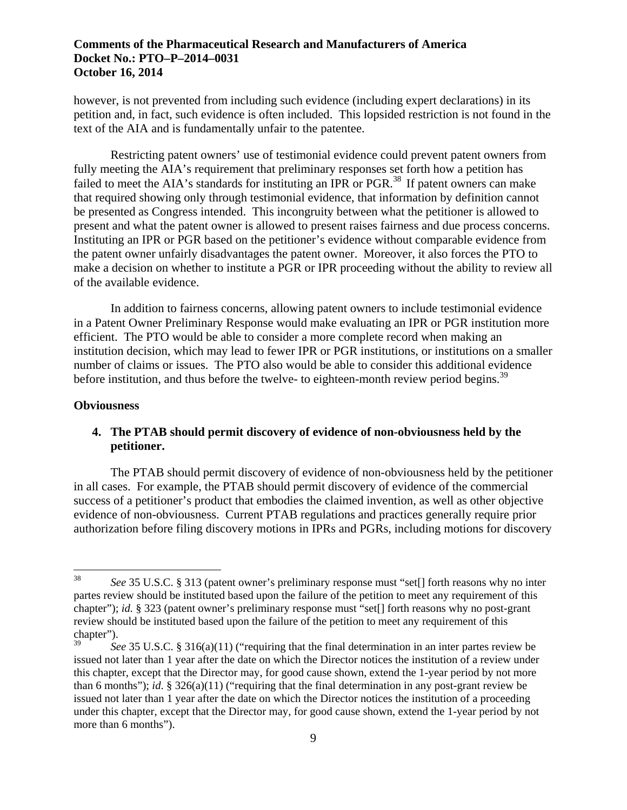however, is not prevented from including such evidence (including expert declarations) in its petition and, in fact, such evidence is often included. This lopsided restriction is not found in the text of the AIA and is fundamentally unfair to the patentee.

Restricting patent owners' use of testimonial evidence could prevent patent owners from fully meeting the AIA's requirement that preliminary responses set forth how a petition has failed to meet the AIA's standards for instituting an IPR or PGR.<sup>38</sup> If patent owners can make that required showing only through testimonial evidence, that information by definition cannot be presented as Congress intended. This incongruity between what the petitioner is allowed to present and what the patent owner is allowed to present raises fairness and due process concerns. Instituting an IPR or PGR based on the petitioner's evidence without comparable evidence from the patent owner unfairly disadvantages the patent owner. Moreover, it also forces the PTO to make a decision on whether to institute a PGR or IPR proceeding without the ability to review all of the available evidence.

before institution, and thus before the twelve- to eighteen-month review period begins.<sup>39</sup> In addition to fairness concerns, allowing patent owners to include testimonial evidence in a Patent Owner Preliminary Response would make evaluating an IPR or PGR institution more efficient. The PTO would be able to consider a more complete record when making an institution decision, which may lead to fewer IPR or PGR institutions, or institutions on a smaller number of claims or issues. The PTO also would be able to consider this additional evidence

## **Obviousness**

 $\overline{a}$ 

# **4. The PTAB should permit discovery of evidence of non-obviousness held by the petitioner.**

The PTAB should permit discovery of evidence of non-obviousness held by the petitioner in all cases. For example, the PTAB should permit discovery of evidence of the commercial success of a petitioner's product that embodies the claimed invention, as well as other objective evidence of non-obviousness. Current PTAB regulations and practices generally require prior authorization before filing discovery motions in IPRs and PGRs, including motions for discovery

<sup>38</sup>*See* 35 U.S.C. § 313 (patent owner's preliminary response must "set[] forth reasons why no inter partes review should be instituted based upon the failure of the petition to meet any requirement of this chapter"); *id.* § 323 (patent owner's preliminary response must "set[] forth reasons why no post-grant review should be instituted based upon the failure of the petition to meet any requirement of this chapter").

See 35 U.S.C. § 316(a)(11) ("requiring that the final determination in an inter partes review be issued not later than 1 year after the date on which the Director notices the institution of a review under this chapter, except that the Director may, for good cause shown, extend the 1-year period by not more than 6 months"); *id*. § 326(a)(11) ("requiring that the final determination in any post-grant review be issued not later than 1 year after the date on which the Director notices the institution of a proceeding under this chapter, except that the Director may, for good cause shown, extend the 1-year period by not more than 6 months").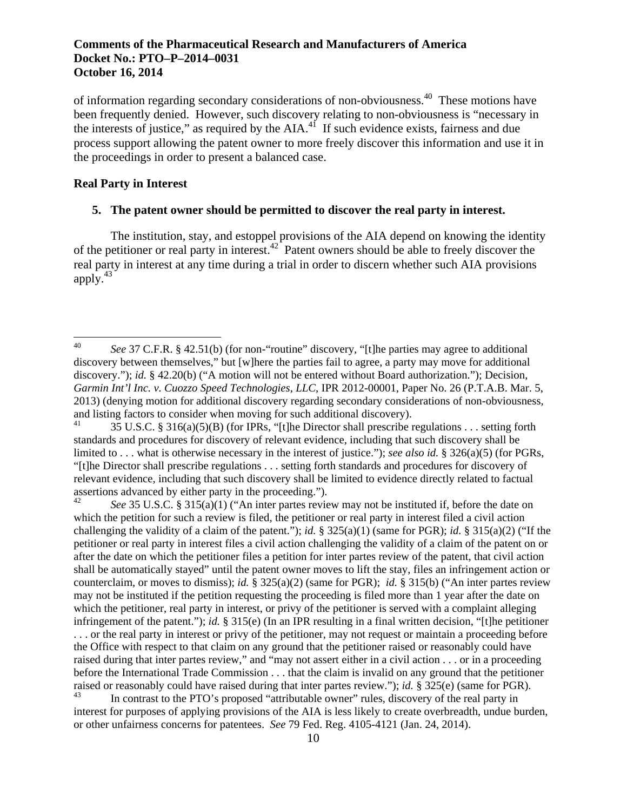of information regarding secondary considerations of non-obviousness.40 These motions have been frequently denied. However, such discovery relating to non-obviousness is "necessary in the interests of justice," as required by the AIA. $4^{\frac{1}{1}}$  If such evidence exists, fairness and due process support allowing the patent owner to more freely discover this information and use it in the proceedings in order to present a balanced case.

# **Real Party in Interest**

 $\overline{a}$ 

## **5. The patent owner should be permitted to discover the real party in interest.**

apply. $43$ The institution, stay, and estoppel provisions of the AIA depend on knowing the identity of the petitioner or real party in interest.42 Patent owners should be able to freely discover the real party in interest at any time during a trial in order to discern whether such AIA provisions

42  $43$ <sup>42</sup>*See* 35 U.S.C. § 315(a)(1) ("An inter partes review may not be instituted if, before the date on which the petition for such a review is filed, the petitioner or real party in interest filed a civil action challenging the validity of a claim of the patent."); *id.* § 325(a)(1) (same for PGR); *id.* § 315(a)(2) ("If the petitioner or real party in interest files a civil action challenging the validity of a claim of the patent on or after the date on which the petitioner files a petition for inter partes review of the patent, that civil action shall be automatically stayed" until the patent owner moves to lift the stay, files an infringement action or counterclaim, or moves to dismiss); *id.* § 325(a)(2) (same for PGR); *id.* § 315(b) ("An inter partes review may not be instituted if the petition requesting the proceeding is filed more than 1 year after the date on which the petitioner, real party in interest, or privy of the petitioner is served with a complaint alleging infringement of the patent."); *id.* § 315(e) (In an IPR resulting in a final written decision, "[t]he petitioner . . . or the real party in interest or privy of the petitioner, may not request or maintain a proceeding before the Office with respect to that claim on any ground that the petitioner raised or reasonably could have raised during that inter partes review," and "may not assert either in a civil action . . . or in a proceeding before the International Trade Commission . . . that the claim is invalid on any ground that the petitioner raised or reasonably could have raised during that inter partes review."); *id.* § 325(e) (same for PGR).

In contrast to the PTO's proposed "attributable owner" rules, discovery of the real party in interest for purposes of applying provisions of the AIA is less likely to create overbreadth, undue burden, or other unfairness concerns for patentees. *See* 79 Fed. Reg. 4105-4121 (Jan. 24, 2014).

<sup>40</sup>*See* 37 C.F.R. § 42.51(b) (for non-"routine" discovery, "[t]he parties may agree to additional discovery between themselves," but [w]here the parties fail to agree, a party may move for additional discovery."); *id.* § 42.20(b) ("A motion will not be entered without Board authorization."); Decision, *Garmin Int'l Inc. v. Cuozzo Speed Technologies, LLC*, IPR 2012-00001, Paper No. 26 (P.T.A.B. Mar. 5, 2013) (denying motion for additional discovery regarding secondary considerations of non-obviousness, and listing factors to consider when moving for such additional discovery).

<sup>41 35</sup> U.S.C. § 316(a)(5)(B) (for IPRs, "[t]he Director shall prescribe regulations . . . setting forth standards and procedures for discovery of relevant evidence, including that such discovery shall be limited to . . . what is otherwise necessary in the interest of justice."); *see also id.* § 326(a)(5) (for PGRs, "[t]he Director shall prescribe regulations . . . setting forth standards and procedures for discovery of relevant evidence, including that such discovery shall be limited to evidence directly related to factual assertions advanced by either party in the proceeding.").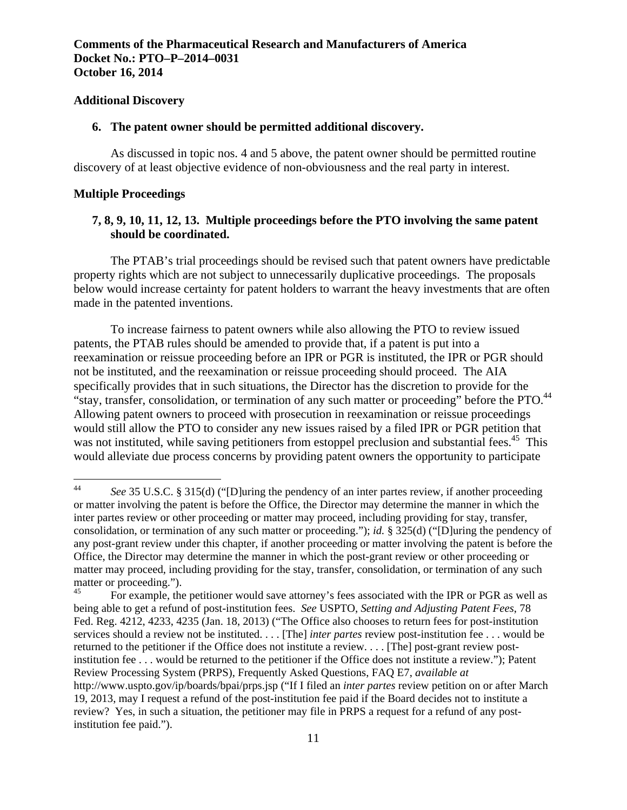#### **Additional Discovery**

### **6. The patent owner should be permitted additional discovery.**

As discussed in topic nos. 4 and 5 above, the patent owner should be permitted routine discovery of at least objective evidence of non-obviousness and the real party in interest.

### **Multiple Proceedings**

 $\overline{a}$ 

# **7, 8, 9, 10, 11, 12, 13. Multiple proceedings before the PTO involving the same patent should be coordinated.**

The PTAB's trial proceedings should be revised such that patent owners have predictable property rights which are not subject to unnecessarily duplicative proceedings. The proposals below would increase certainty for patent holders to warrant the heavy investments that are often made in the patented inventions.

"stay, transfer, consolidation, or termination of any such matter or proceeding" before the PTO.<sup>44</sup> To increase fairness to patent owners while also allowing the PTO to review issued patents, the PTAB rules should be amended to provide that, if a patent is put into a reexamination or reissue proceeding before an IPR or PGR is instituted, the IPR or PGR should not be instituted, and the reexamination or reissue proceeding should proceed. The AIA specifically provides that in such situations, the Director has the discretion to provide for the Allowing patent owners to proceed with prosecution in reexamination or reissue proceedings would still allow the PTO to consider any new issues raised by a filed IPR or PGR petition that was not instituted, while saving petitioners from estoppel preclusion and substantial fees.<sup>45</sup> This would alleviate due process concerns by providing patent owners the opportunity to participate

<sup>44</sup>*See* 35 U.S.C. § 315(d) ("[D]uring the pendency of an inter partes review, if another proceeding or matter involving the patent is before the Office, the Director may determine the manner in which the inter partes review or other proceeding or matter may proceed, including providing for stay, transfer, consolidation, or termination of any such matter or proceeding."); *id.* § 325(d) ("[D]uring the pendency of any post-grant review under this chapter, if another proceeding or matter involving the patent is before the Office, the Director may determine the manner in which the post-grant review or other proceeding or matter may proceed, including providing for the stay, transfer, consolidation, or termination of any such matter or proceeding.").

<sup>45</sup> For example, the petitioner would save attorney's fees associated with the IPR or PGR as well as being able to get a refund of post-institution fees. *See* USPTO, *Setting and Adjusting Patent Fees*, 78 Fed. Reg. 4212, 4233, 4235 (Jan. 18, 2013) ("The Office also chooses to return fees for post-institution services should a review not be instituted. . . . [The] *inter partes* review post-institution fee . . . would be returned to the petitioner if the Office does not institute a review. . . . [The] post-grant review postinstitution fee . . . would be returned to the petitioner if the Office does not institute a review."); Patent Review Processing System (PRPS), Frequently Asked Questions, FAQ E7, *available at*  http://www.uspto.gov/ip/boards/bpai/prps.jsp ("If I filed an *inter partes* review petition on or after March 19, 2013, may I request a refund of the post-institution fee paid if the Board decides not to institute a review? Yes, in such a situation, the petitioner may file in PRPS a request for a refund of any postinstitution fee paid.").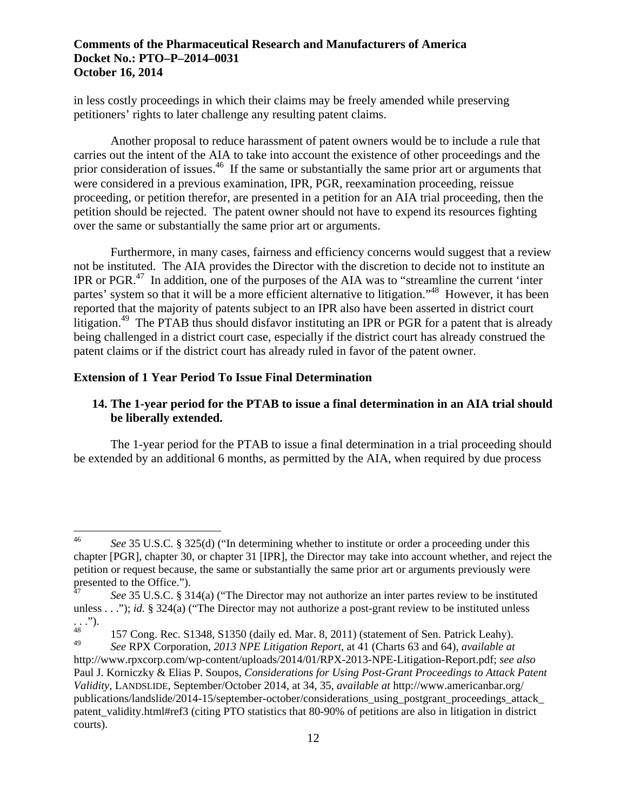in less costly proceedings in which their claims may be freely amended while preserving petitioners' rights to later challenge any resulting patent claims.

Another proposal to reduce harassment of patent owners would be to include a rule that carries out the intent of the AIA to take into account the existence of other proceedings and the prior consideration of issues.<sup>46</sup> If the same or substantially the same prior art or arguments that were considered in a previous examination, IPR, PGR, reexamination proceeding, reissue proceeding, or petition therefor, are presented in a petition for an AIA trial proceeding, then the petition should be rejected. The patent owner should not have to expend its resources fighting over the same or substantially the same prior art or arguments.

Furthermore, in many cases, fairness and efficiency concerns would suggest that a review not be instituted. The AIA provides the Director with the discretion to decide not to institute an IPR or PGR. $47$  In addition, one of the purposes of the AIA was to "streamline the current 'inter partes' system so that it will be a more efficient alternative to litigation."48 However, it has been reported that the majority of patents subject to an IPR also have been asserted in district court litigation.<sup>49</sup> The PTAB thus should disfavor instituting an IPR or PGR for a patent that is already being challenged in a district court case, especially if the district court has already construed the patent claims or if the district court has already ruled in favor of the patent owner.

### **Extension of 1 Year Period To Issue Final Determination**

 $\overline{a}$ 

## **14. The 1-year period for the PTAB to issue a final determination in an AIA trial should be liberally extended.**

The 1-year period for the PTAB to issue a final determination in a trial proceeding should be extended by an additional 6 months, as permitted by the AIA, when required by due process

<sup>46</sup>*See* 35 U.S.C. § 325(d) ("In determining whether to institute or order a proceeding under this chapter [PGR], chapter 30, or chapter 31 [IPR], the Director may take into account whether, and reject the petition or request because, the same or substantially the same prior art or arguments previously were presented to the Office.").

<sup>47</sup>*See* 35 U.S.C. § 314(a) ("The Director may not authorize an inter partes review to be instituted unless . . ."); *id.* § 324(a) ("The Director may not authorize a post-grant review to be instituted unless  $\ldots$ ").

<sup>49</sup> 48 157 Cong. Rec. S1348, S1350 (daily ed. Mar. 8, 2011) (statement of Sen. Patrick Leahy).

<sup>49</sup>*See* RPX Corporation, *2013 NPE Litigation Report*, at 41 (Charts 63 and 64), *available at*  http://www.rpxcorp.com/wp-content/uploads/2014/01/RPX-2013-NPE-Litigation-Report.pdf; *see also*  Paul J. Korniczky & Elias P. Soupos, *Considerations for Using Post-Grant Proceedings to Attack Patent Validity*, LANDSLIDE, September/October 2014, at 34, 35, *available at* http://www.americanbar.org/ publications/landslide/2014-15/september-october/considerations\_using\_postgrant\_proceedings\_attack\_ patent\_validity.html#ref3 (citing PTO statistics that 80-90% of petitions are also in litigation in district courts).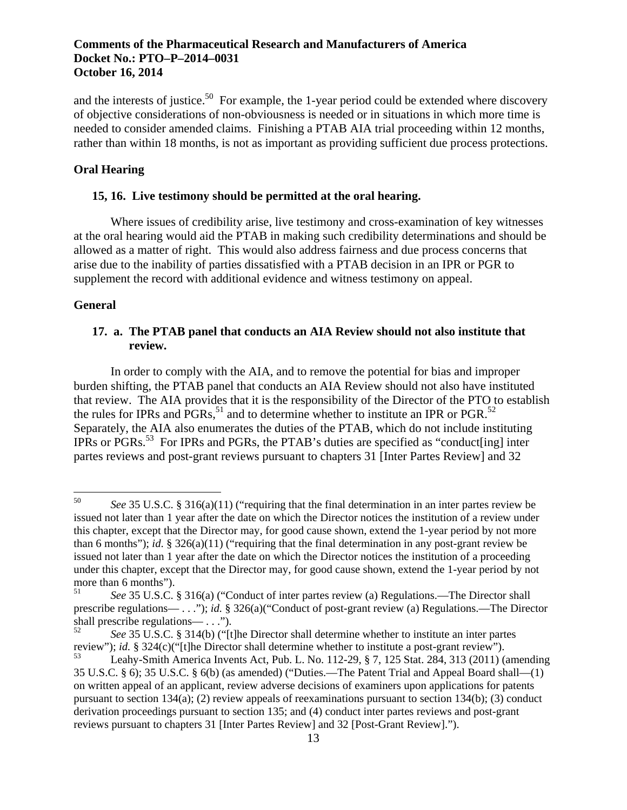rather than within 18 months, is not as important as providing sufficient due process protections. and the interests of justice.<sup>50</sup> For example, the 1-year period could be extended where discovery of objective considerations of non-obviousness is needed or in situations in which more time is needed to consider amended claims. Finishing a PTAB AIA trial proceeding within 12 months,

### **Oral Hearing**

#### **15, 16. Live testimony should be permitted at the oral hearing.**

Where issues of credibility arise, live testimony and cross-examination of key witnesses at the oral hearing would aid the PTAB in making such credibility determinations and should be allowed as a matter of right. This would also address fairness and due process concerns that arise due to the inability of parties dissatisfied with a PTAB decision in an IPR or PGR to supplement the record with additional evidence and witness testimony on appeal.

#### **General**

 $\overline{a}$ 

# **17. a. The PTAB panel that conducts an AIA Review should not also institute that review.**

the rules for IPRs and  $PGRs$ ,<sup>51</sup> and to determine whether to institute an IPR or PGR.<sup>52</sup> In order to comply with the AIA, and to remove the potential for bias and improper burden shifting, the PTAB panel that conducts an AIA Review should not also have instituted that review. The AIA provides that it is the responsibility of the Director of the PTO to establish Separately, the AIA also enumerates the duties of the PTAB, which do not include instituting IPRs or PGRs.53 For IPRs and PGRs, the PTAB's duties are specified as "conduct[ing] inter partes reviews and post-grant reviews pursuant to chapters 31 [Inter Partes Review] and 32

<sup>50</sup>*See* 35 U.S.C. § 316(a)(11) ("requiring that the final determination in an inter partes review be issued not later than 1 year after the date on which the Director notices the institution of a review under this chapter, except that the Director may, for good cause shown, extend the 1-year period by not more than 6 months"); *id*. § 326(a)(11) ("requiring that the final determination in any post-grant review be issued not later than 1 year after the date on which the Director notices the institution of a proceeding under this chapter, except that the Director may, for good cause shown, extend the 1-year period by not more than 6 months").

<sup>51</sup>*See* 35 U.S.C. § 316(a) ("Conduct of inter partes review (a) Regulations.—The Director shall prescribe regulations— . . ."); *id.* § 326(a)("Conduct of post-grant review (a) Regulations.—The Director shall prescribe regulations— . . .").

<sup>52</sup>*See* 35 U.S.C. § 314(b) ("[t]he Director shall determine whether to institute an inter partes review"); *id.* § 324(c)("[t]he Director shall determine whether to institute a post-grant review").

<sup>53</sup> Leahy-Smith America Invents Act, Pub. L. No. 112-29, § 7, 125 Stat. 284, 313 (2011) (amending 35 U.S.C. § 6); 35 U.S.C. § 6(b) (as amended) ("Duties.—The Patent Trial and Appeal Board shall—(1) on written appeal of an applicant, review adverse decisions of examiners upon applications for patents pursuant to section 134(a); (2) review appeals of reexaminations pursuant to section 134(b); (3) conduct derivation proceedings pursuant to section 135; and (4) conduct inter partes reviews and post-grant reviews pursuant to chapters 31 [Inter Partes Review] and 32 [Post-Grant Review].").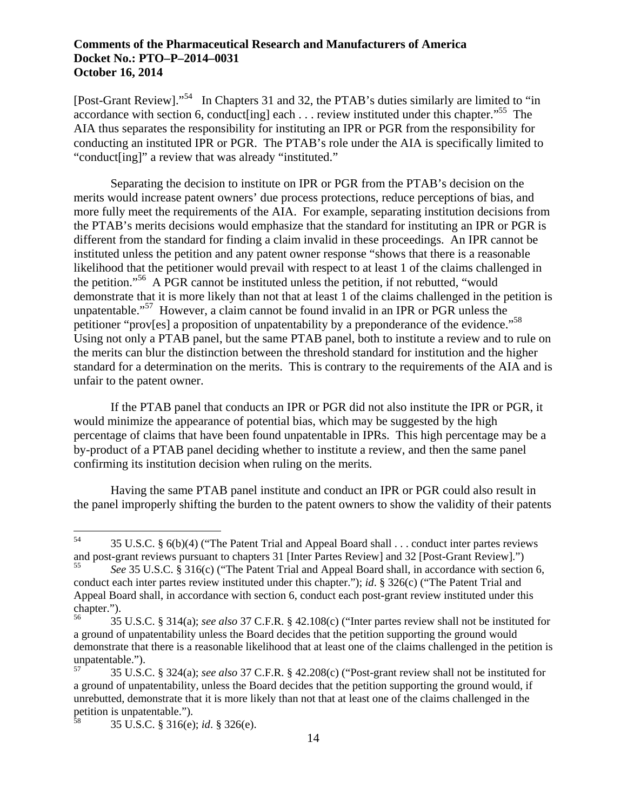[Post-Grant Review]."54 In Chapters 31 and 32, the PTAB's duties similarly are limited to "in accordance with section 6, conduct [ing] each . . . review instituted under this chapter."<sup>55</sup> The AIA thus separates the responsibility for instituting an IPR or PGR from the responsibility for conducting an instituted IPR or PGR. The PTAB's role under the AIA is specifically limited to "conduct[ing]" a review that was already "instituted."

petitioner "prov[es] a proposition of unpatentability by a preponderance of the evidence."<sup>58</sup> Separating the decision to institute on IPR or PGR from the PTAB's decision on the merits would increase patent owners' due process protections, reduce perceptions of bias, and more fully meet the requirements of the AIA. For example, separating institution decisions from the PTAB's merits decisions would emphasize that the standard for instituting an IPR or PGR is different from the standard for finding a claim invalid in these proceedings. An IPR cannot be instituted unless the petition and any patent owner response "shows that there is a reasonable likelihood that the petitioner would prevail with respect to at least 1 of the claims challenged in the petition."56 A PGR cannot be instituted unless the petition, if not rebutted, "would demonstrate that it is more likely than not that at least 1 of the claims challenged in the petition is unpatentable."<sup>57</sup> However, a claim cannot be found invalid in an IPR or PGR unless the Using not only a PTAB panel, but the same PTAB panel, both to institute a review and to rule on the merits can blur the distinction between the threshold standard for institution and the higher standard for a determination on the merits. This is contrary to the requirements of the AIA and is unfair to the patent owner.

If the PTAB panel that conducts an IPR or PGR did not also institute the IPR or PGR, it would minimize the appearance of potential bias, which may be suggested by the high percentage of claims that have been found unpatentable in IPRs. This high percentage may be a by-product of a PTAB panel deciding whether to institute a review, and then the same panel confirming its institution decision when ruling on the merits.

Having the same PTAB panel institute and conduct an IPR or PGR could also result in the panel improperly shifting the burden to the patent owners to show the validity of their patents

<sup>54 35</sup> U.S.C. § 6(b)(4) ("The Patent Trial and Appeal Board shall . . . conduct inter partes reviews and post-grant reviews pursuant to chapters 31 [Inter Partes Review] and 32 [Post-Grant Review].")

<sup>55</sup>*See* 35 U.S.C. § 316(c) ("The Patent Trial and Appeal Board shall, in accordance with section 6, conduct each inter partes review instituted under this chapter."); *id*. § 326(c) ("The Patent Trial and Appeal Board shall, in accordance with section 6, conduct each post-grant review instituted under this chapter.").

<sup>56 35</sup> U.S.C. § 314(a); *see also* 37 C.F.R. § 42.108(c) ("Inter partes review shall not be instituted for a ground of unpatentability unless the Board decides that the petition supporting the ground would demonstrate that there is a reasonable likelihood that at least one of the claims challenged in the petition is unpatentable.").

<sup>57 35</sup> U.S.C. § 324(a); *see also* 37 C.F.R. § 42.208(c) ("Post-grant review shall not be instituted for a ground of unpatentability, unless the Board decides that the petition supporting the ground would, if unrebutted, demonstrate that it is more likely than not that at least one of the claims challenged in the petition is unpatentable.").

<sup>58 35</sup> U.S.C. § 316(e); *id*. § 326(e).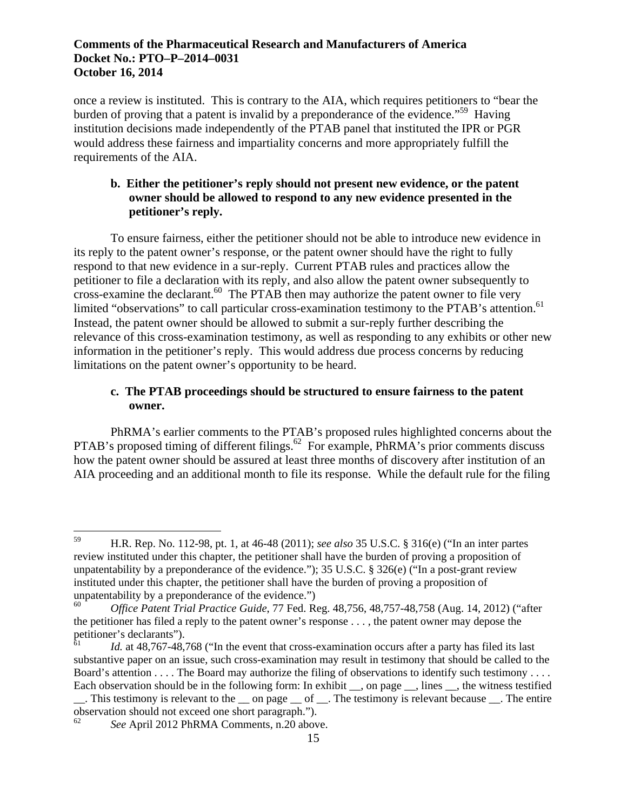once a review is instituted. This is contrary to the AIA, which requires petitioners to "bear the burden of proving that a patent is invalid by a preponderance of the evidence."59 Having institution decisions made independently of the PTAB panel that instituted the IPR or PGR would address these fairness and impartiality concerns and more appropriately fulfill the requirements of the AIA.

# **b. Either the petitioner's reply should not present new evidence, or the patent owner should be allowed to respond to any new evidence presented in the petitioner's reply.**

limited "observations" to call particular cross-examination testimony to the PTAB's attention.<sup>61</sup> To ensure fairness, either the petitioner should not be able to introduce new evidence in its reply to the patent owner's response, or the patent owner should have the right to fully respond to that new evidence in a sur-reply. Current PTAB rules and practices allow the petitioner to file a declaration with its reply, and also allow the patent owner subsequently to  $\frac{1}{2}$  cross-examine the declarant.<sup>60</sup> The PTAB then may authorize the patent owner to file very Instead, the patent owner should be allowed to submit a sur-reply further describing the relevance of this cross-examination testimony, as well as responding to any exhibits or other new information in the petitioner's reply. This would address due process concerns by reducing limitations on the patent owner's opportunity to be heard.

# **c. The PTAB proceedings should be structured to ensure fairness to the patent owner.**

PhRMA's earlier comments to the PTAB's proposed rules highlighted concerns about the PTAB's proposed timing of different filings.<sup>62</sup> For example, PhRMA's prior comments discuss how the patent owner should be assured at least three months of discovery after institution of an AIA proceeding and an additional month to file its response. While the default rule for the filing

 $\overline{a}$ 59 H.R. Rep. No. 112-98, pt. 1, at 46-48 (2011); *see also* 35 U.S.C. § 316(e) ("In an inter partes review instituted under this chapter, the petitioner shall have the burden of proving a proposition of unpatentability by a preponderance of the evidence."); 35 U.S.C.  $\S 326(e)$  ("In a post-grant review instituted under this chapter, the petitioner shall have the burden of proving a proposition of unpatentability by a preponderance of the evidence.")

<sup>60</sup>*Office Patent Trial Practice Guide*, 77 Fed. Reg. 48,756, 48,757-48,758 (Aug. 14, 2012) ("after the petitioner has filed a reply to the patent owner's response . . . , the patent owner may depose the petitioner's declarants").

Id. at 48,767-48,768 ("In the event that cross-examination occurs after a party has filed its last substantive paper on an issue, such cross-examination may result in testimony that should be called to the Board's attention . . . . The Board may authorize the filing of observations to identify such testimony . . . . Each observation should be in the following form: In exhibit \_\_, on page \_\_, lines \_\_, the witness testified . This testimony is relevant to the con page of . The testimony is relevant because . The entire

observation should not exceed one short paragraph.").

<sup>62</sup>*See* April 2012 PhRMA Comments, n.20 above.